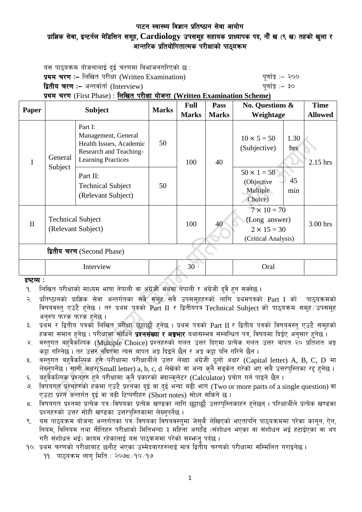# पाटन स्वास्थ्य विज्ञान प्रतिष्ठान सेवा आयोग प्राज्ञिक सेवा, इन्टर्नल मेडिसिन समूह, Cardiology उपसमूह सहायक प्राध्यापक पद, नौं ख (९ ख) तहको खुला र आन्तरिक प्रतियोगितात्मक परीक्षाको पाठयक्रम

यस पाठ्यक्रम योजनालाई दुई चरणमा विभाजनगरिएको छ $\,$ : प्रथम चरण :- लिखित परीक्षा (Written Examination) x 200 पूर्णाङ्ग :- २०० द्वितीय चरण :– अन्तर्वार्ता (Interview) k and the set of the set of the set of  $q$ णांङ्क :– ३०

प्रथम चरण (First Phase) : लिखित परीक्षा योजना (Written Examination Scheme)

| Paper                      | <b>Subject</b>                                 |                                                                                                                  | <b>Marks</b> | <b>Full</b>  | Pass         | <b>No. Questions &amp;</b>                                                       |             | <b>Time</b>    |  |
|----------------------------|------------------------------------------------|------------------------------------------------------------------------------------------------------------------|--------------|--------------|--------------|----------------------------------------------------------------------------------|-------------|----------------|--|
|                            |                                                |                                                                                                                  |              | <b>Marks</b> | <b>Marks</b> | Weightage                                                                        |             | <b>Allowed</b> |  |
| I                          | General<br>Subject                             | Part I:<br>Management, General<br>Health Issues, Academic<br>Research and Teaching-<br><b>Learning Practices</b> | 50           | 100          | 40           | $10 \times 5 = 50$<br>(Subjective)                                               | 1.30<br>hrs | 2.15 hrs       |  |
|                            |                                                | Part II:<br><b>Technical Subject</b><br>(Relevant Subject)                                                       | 50           |              |              | $50 \times 1 = 50$<br>(Objective<br>Multiple<br>Choice)                          | 45<br>min   |                |  |
| $\mathbf{I}$               | <b>Technical Subject</b><br>(Relevant Subject) |                                                                                                                  |              | 100          | 40           | $7 \times 10 = 70$<br>(Long answer)<br>$2 \times 15 = 30$<br>(Critical Analysis) |             | 3.00 hrs       |  |
| द्वितीय चरण (Second Phase) |                                                |                                                                                                                  |              |              |              |                                                                                  |             |                |  |
|                            | Interview                                      |                                                                                                                  | 30           |              |              | Oral                                                                             |             |                |  |
| द्रष्टव्य :                |                                                |                                                                                                                  |              |              |              |                                                                                  |             |                |  |

#### द्रष्टव्य :

- २. प्रतिष्ठानको प्राज्ञिक सेवा अन्तर्गतका सबै समूह सबै उपसमूहहरुको लागि प्रथमपत्रको Part I को पाठ्यक्रमको विषयवस्त् एउटै हनेछ । तर प्रथम पत्रको Part II र द्वितीयपत्र Technical Subject को पाठ्यक्रम समूह उपसमूह अनुरुप फरक फरक हुनेछ ।
- ३. प्रथम र द्वितीय पत्रको लिखित परीक्षा छट्टाछट्टै हुनेछ । प्रथम पत्रको Part II र द्वितीय पत्रको विषयवस्तु एउटै समूहको हकमा समान हुनेछ । परीक्षामा सोधिने **प्रश्नसंख्या र अङ्गभार** यथासम्भव सम्बन्धित पत्र, विषयमा दिईए अनुसार हुनेछ ।
- ४. वस्तगत बहवैकल्पिक (Multiple Choice) प्रश्नहरुको गलत उत्तर दिएमा प्रत्येक गलत उत्तर बापत २० प्रतिशत अङ्क कट्टा गरिनेछ । तर उत्तर नदिएमा त्यस बापत अङ्ग दिइने छैन र अङ्ग कट्टा पनि गरिने छैन ।
- ५. वस्तुगत बहवैकल्पिक हुने परीक्षामा परीक्षार्थीले उत्तर लेख्दा अंग्रेजी ठूलो अक्षर (Capital letter) A, B, C, D मा लेख्नुपर्नेछ। सानो अक्षर $(S$ mall letter) a, b, c, d लेखेको वा अन्य कुनै सङ्केत गरेको भए सबै उत्तरपुस्तिका रद्द हुनेछ।
- ६. वहवैकल्पिक प्रश्नहरु हुने परीक्षामा कुनै प्रकारको क्याल्कुलेटर (Calculator) प्रयोग गर्न पाइने छैन ।
- ७. विषयगत प्रश्नहरुको हकमा एउटै प्रश्नका दुई वा दुई भन्दा बढी भाग (Two or more parts of a single question) वा एउटा प्रश्न अन्तर्गत दुई वा बढी टिप्पणीहरु (Short notes) सोध्न सकिने छ।
- $\,$ द. विषयगत प्रश्नमा प्रत्येक पत्र विषयका प्रत्येक खण्डका लागि छट्टाछट्टै उत्तरपस्तिकाहरु हनेछन् । परिक्षार्थीले प्रत्येक खण्डका प्रश्नहरुको उत्तर सोही खण्डका उत्तरपस्तिकामा लेख्नपर्नेछ ।
- ९. यस पाठ्यक्रम योजना अन्तर्गतका पत्रं ∕विषयका विषयवस्तुमा जेसुकै लेखिएको भएतापनि पाठ्यक्रममा परेका कानुन, ऐन, ्तियम, विनियम तथा नीतिहरु परीक्षाको मितिभन्दा ३ महिना अगाडि (संशोधन भएका वा संशोधन भई हटाईएका वा थप गरी संशोधन भई) कायम रहेकालाई यस पाठकममा परेको सम्भन्न पर्दछ ।
- १०. प्रथम चरणको परीक्षाबाट छनौट भएका उम्मेदवारहरुलाई मात्र द्वितीय चरणको परीक्षामा सम्मिलित गराइनेछ ।
	- $99.$  पाठयक्रम लाग मिति : २०७८ $190/99$

<sup>&</sup>lt;u>9. लिखित परीक्षाको माध्यम भाषा नेपाली वा अंग्रेजी अथवा नेपाली र अंग्रेजी दवै हन सक्नेछ ।</u>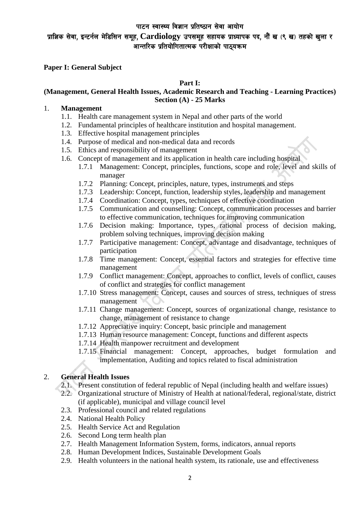# प्राज्ञिक सेवा, इन्टर्नल मेडिसिन समूह, Cardiology उपसमूह सहायक प्राध्यापक पद, नौं ख (९ ख) तहको खुला र ..<br>आन्तरिक प्रतियोगितात्मक परीक्षाको पाठयक्रम

**Paper I: General Subject** 

**Part I:** 

## **(Management, General Health Issues, Academic Research and Teaching - Learning Practices) Section (A) - 25 Marks**

#### 1. **Management**

- 1.1. Health care management system in Nepal and other parts of the world
- 1.2. Fundamental principles of healthcare institution and hospital management.
- 1.3. Effective hospital management principles
- 1.4. Purpose of medical and non-medical data and records
- 1.5. Ethics and responsibility of management
- 1.6. Concept of management and its application in health care including hospital
	- 1.7.1 Management: Concept, principles, functions, scope and role, level and skills of manager
	- 1.7.2 Planning: Concept, principles, nature, types, instruments and steps
	- 1.7.3 Leadership: Concept, function, leadership styles, leadership and management
	- 1.7.4 Coordination: Concept, types, techniques of effective coordination
	- 1.7.5 Communication and counselling: Concept, communication processes and barrier to effective communication, techniques for improving communication
	- 1.7.6 Decision making: Importance, types, rational process of decision making, problem solving techniques, improving decision making
	- 1.7.7 Participative management: Concept, advantage and disadvantage, techniques of participation
	- 1.7.8 Time management: Concept, essential factors and strategies for effective time management
	- 1.7.9 Conflict management: Concept, approaches to conflict, levels of conflict, causes of conflict and strategies for conflict management
	- 1.7.10 Stress management: Concept, causes and sources of stress, techniques of stress management
	- 1.7.11 Change management: Concept, sources of organizational change, resistance to change, management of resistance to change
	- 1.7.12 Appreciative inquiry: Concept, basic principle and management
	- 1.7.13 Human resource management: Concept, functions and different aspects
	- 1.7.14 Health manpower recruitment and development
	- 1.7.15 Financial management: Concept, approaches, budget formulation and implementation, Auditing and topics related to fiscal administration

## 2. **General Health Issues**

- 2.1. Present constitution of federal republic of Nepal (including health and welfare issues)
- 2.2. Organizational structure of Ministry of Health at national/federal, regional/state, district (if applicable), municipal and village council level
- 2.3. Professional council and related regulations
- 2.4. National Health Policy
- 2.5. Health Service Act and Regulation
- 2.6. Second Long term health plan
- 2.7. Health Management Information System, forms, indicators, annual reports
- 2.8. Human Development Indices, Sustainable Development Goals
- 2.9. Health volunteers in the national health system, its rationale, use and effectiveness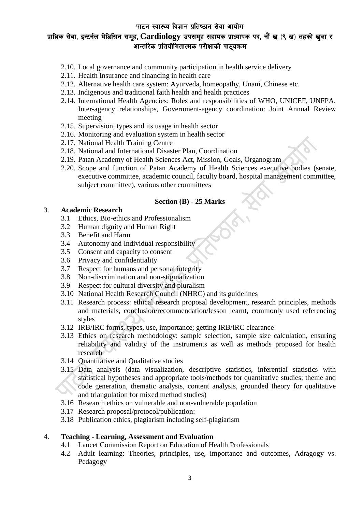# प्राज्ञिक सेवा, इन्टर्नल मेडिसिन समूह, Cardiology उपसमूह सहायक प्राध्यापक पद, नौं ख (९ ख) तहको खुला र  $\widetilde{\mathbb{G}}$ आन्तरिक प्रतियोगितात्मक परीक्षाको पाठयक्रम $\widetilde{\mathbb{G}}$

- 2.10. Local governance and community participation in health service delivery
- 2.11. Health Insurance and financing in health care
- 2.12. Alternative health care system: Ayurveda, homeopathy, Unani, Chinese etc.
- 2.13. Indigenous and traditional faith health and health practices
- 2.14. International Health Agencies: Roles and responsibilities of WHO, UNICEF, UNFPA, Inter-agency relationships, Government-agency coordination: Joint Annual Review meeting
- 2.15. Supervision, types and its usage in health sector
- 2.16. Monitoring and evaluation system in health sector
- 2.17. National Health Training Centre
- 2.18. National and International Disaster Plan, Coordination
- 2.19. Patan Academy of Health Sciences Act, Mission, Goals, Organogram
- 2.20. Scope and function of Patan Academy of Health Sciences executive bodies (senate, executive committee, academic council, faculty board, hospital management committee, subject committee), various other committees

#### **Section (B) - 25 Marks**

### 3. **Academic Research**

- 3.1 Ethics, Bio-ethics and Professionalism
- 3.2 Human dignity and Human Right
- 3.3 Benefit and Harm
- 3.4 Autonomy and Individual responsibility
- 3.5 Consent and capacity to consent
- 3.6 Privacy and confidentiality
- 3.7 Respect for humans and personal integrity
- 3.8 Non-discrimination and non-stigmatization
- 3.9 Respect for cultural diversity and pluralism
- 3.10 National Health Research Council (NHRC) and its guidelines
- 3.11 Research process: ethical research proposal development, research principles, methods and materials, conclusion/recommendation/lesson learnt, commonly used referencing styles
- 3.12 IRB/IRC forms, types, use, importance; getting IRB/IRC clearance
- 3.13 Ethics on research methodology: sample selection, sample size calculation, ensuring reliability and validity of the instruments as well as methods proposed for health research
- 3.14 Quantitative and Qualitative studies
- 3.15 Data analysis (data visualization, descriptive statistics, inferential statistics with statistical hypotheses and appropriate tools/methods for quantitative studies; theme and code generation, thematic analysis, content analysis, grounded theory for qualitative and triangulation for mixed method studies)
- 3.16 Research ethics on vulnerable and non-vulnerable population
- 3.17 Research proposal/protocol/publication:
- 3.18 Publication ethics, plagiarism including self-plagiarism

## 4. **Teaching - Learning, Assessment and Evaluation**

- 4.1 Lancet Commission Report on Education of Health Professionals
- 4.2 Adult learning: Theories, principles, use, importance and outcomes, Adragogy vs. Pedagogy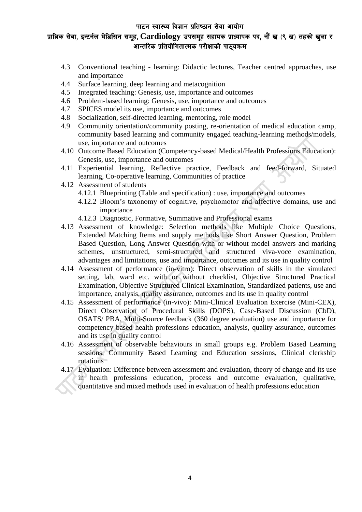# $\mu$ ाज्ञिक सेवा, इन्टर्नल मेडिसिन समूह, Cardiology उपसमूह सहायक प्राध्यापक पद, नौं ख (९ ख) तहको खुला र  $\stackrel{\sim}{{\mathfrak{m}}}$ आन्तरिक प्रतियोगितात्मक परीक्षाको पाठयक्रम

- 4.3 Conventional teaching learning: Didactic lectures, Teacher centred approaches, use and importance
- 4.4 Surface learning, deep learning and metacognition
- 4.5 Integrated teaching: Genesis, use, importance and outcomes
- 4.6 Problem-based learning: Genesis, use, importance and outcomes
- 4.7 SPICES model its use, importance and outcomes
- 4.8 Socialization, self-directed learning, mentoring, role model
- 4.9 Community orientation/community posting, re-orientation of medical education camp, community based learning and community engaged teaching-learning methods/models, use, importance and outcomes
- 4.10 Outcome Based Education (Competency-based Medical/Health Professions Education): Genesis, use, importance and outcomes
- 4.11 Experiential learning, Reflective practice, Feedback and feed-forward, Situated learning, Co-operative learning, Communities of practice
- 4.12 Assessment of students
	- 4.12.1 Blueprinting (Table and specification) : use, importance and outcomes
	- 4.12.2 Bloom's taxonomy of cognitive, psychomotor and affective domains, use and importance
	- 4.12.3 Diagnostic, Formative, Summative and Professional exams
- 4.13 Assessment of knowledge: Selection methods like Multiple Choice Questions, Extended Matching Items and supply methods like Short Answer Question, Problem Based Question, Long Answer Question with or without model answers and marking schemes, unstructured, semi-structured and structured viva-voce examination, advantages and limitations, use and importance, outcomes and its use in quality control
- 4.14 Assessment of performance (in-vitro): Direct observation of skills in the simulated setting, lab, ward etc. with or without checklist, Objective Structured Practical Examination, Objective Structured Clinical Examination, Standardized patients, use and importance, analysis, quality assurance, outcomes and its use in quality control
- 4.15 Assessment of performance (in-vivo): Mini-Clinical Evaluation Exercise (Mini-CEX), Direct Observation of Procedural Skills (DOPS), Case-Based Discussion (CbD), OSATS/ PBA, Multi-Source feedback (360 degree evaluation) use and importance for competency based health professions education, analysis, quality assurance, outcomes and its use in quality control
- 4.16 Assessment of observable behaviours in small groups e.g. Problem Based Learning sessions, Community Based Learning and Education sessions, Clinical clerkship rotations
- 4.17 Evaluation: Difference between assessment and evaluation, theory of change and its use in health professions education, process and outcome evaluation, qualitative, quantitative and mixed methods used in evaluation of health professions education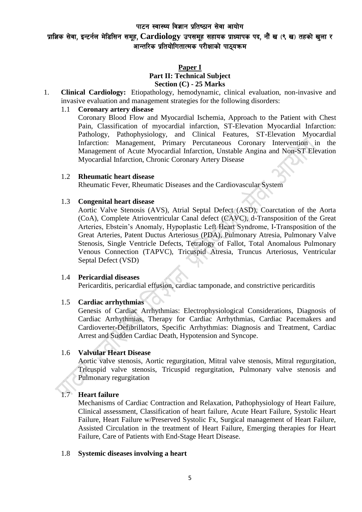# $\mu$ ाज्ञिक सेवा, इन्टर्नल मेडिसिन समूह, Cardiology उपसमूह सहायक प्राध्यापक पद, नौं ख (९ ख) तहको खुला र ..<br>आन्तरिक प्रतियोगितात्मक परीक्षाको पाठयक्रम

## **Paper I**

#### **Part II: Technical Subject Section (C) - 25 Marks**

1. **Clinical Cardiology:** Etiopathology, hemodynamic, clinical evaluation, non-invasive and invasive evaluation and management strategies for the following disorders:

## 1.1 **Coronary artery disease**

Coronary Blood Flow and Myocardial Ischemia, Approach to the Patient with Chest Pain, Classification of myocardial infarction, ST-Elevation Myocardial Infarction: Pathology, Pathophysiology, and Clinical Features, ST-Elevation Myocardial Infarction: Management, Primary Percutaneous Coronary Intervention in the Management of Acute Myocardial Infarction, Unstable Angina and Non-ST Elevation Myocardial Infarction, Chronic Coronary Artery Disease

## 1.2 **Rheumatic heart disease**

Rheumatic Fever, Rheumatic Diseases and the Cardiovascular System

### 1.3 **Congenital heart disease**

Aortic Valve Stenosis (AVS), Atrial Septal Defect (ASD), Coarctation of the Aorta (CoA), Complete Atrioventricular Canal defect (CAVC), d-Transposition of the Great Arteries, Ebstein's Anomaly, Hypoplastic Left Heart Syndrome, I-Transposition of the Great Arteries, Patent Ductus Arteriosus (PDA), Pulmonary Atresia, Pulmonary Valve Stenosis, Single Ventricle Defects, Tetralogy of Fallot, Total Anomalous Pulmonary Venous Connection (TAPVC), Tricuspid Atresia, Truncus Arteriosus, Ventricular Septal Defect (VSD)

## 1.4 **Pericardial diseases**

Pericarditis, pericardial effusion, cardiac tamponade, and constrictive pericarditis

## 1.5 **Cardiac arrhythmias**

Genesis of Cardiac Arrhythmias: Electrophysiological Considerations, Diagnosis of Cardiac Arrhythmias, Therapy for Cardiac Arrhythmias, Cardiac Pacemakers and Cardioverter-Defibrillators, Specific Arrhythmias: Diagnosis and Treatment, Cardiac Arrest and Sudden Cardiac Death, Hypotension and Syncope.

## 1.6 **Valvular Heart Disease**

Aortic valve stenosis, Aortic regurgitation, Mitral valve stenosis, Mitral regurgitation, Tricuspid valve stenosis, Tricuspid regurgitation, Pulmonary valve stenosis and Pulmonary regurgitation

## 1.7 **Heart failure**

Mechanisms of Cardiac Contraction and Relaxation, Pathophysiology of Heart Failure, Clinical assessment, Classification of heart failure, Acute Heart Failure, Systolic Heart Failure, Heart Failure w/Preserved Systolic Fx, Surgical management of Heart Failure, Assisted Circulation in the treatment of Heart Failure, Emerging therapies for Heart Failure, Care of Patients with End-Stage Heart Disease.

## 1.8 **Systemic diseases involving a heart**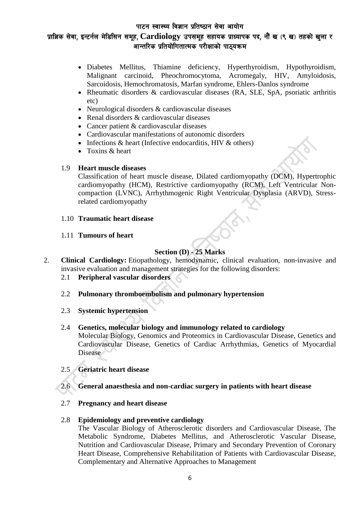# $\mu$ ज्ञाज्ञिक सेवा, इन्टर्नल मेडिसिन समुह, Cardiology उपसमुह सहायक प्राध्यापक पद, नौं ख (९ ख) तहको खुला र  $\stackrel{\sim}{{\mathfrak{m}}}$ आन्तरिक प्रतियोगितात्मक परीक्षाको पाठयक्रम

- Diabetes Mellitus, Thiamine deficiency, Hyperthyroidism, Hypothyroidism, Malignant carcinoid, Pheochromocytoma, Acromegaly, HIV, Amyloidosis, Sarcoidosis, Hemochromatosis, Marfan syndrome, Ehlers-Danlos syndrome
- Rheumatic disorders & cardiovascular diseases (RA, SLE, SpA, psoriatic arthritis etc)
- Neurological disorders & cardiovascular diseases
- Renal disorders & cardiovascular diseases
- Cancer patient & cardiovascular diseases
- Cardiovascular manifestations of autonomic disorders
- Infections  $&$  heart (Infective endocarditis, HIV  $&$  others)
- Toxins & heart

### 1.9 **Heart muscle diseases**

Classification of heart muscle disease, Dilated cardiomyopathy (DCM), Hypertrophic cardiomyopathy (HCM), Restrictive cardiomyopathy (RCM), Left Ventricular Noncompaction (LVNC), Arrhythmogenic Right Ventricular Dysplasia (ARVD), Stressrelated cardiomyopathy

### 1.10 **Traumatic heart disease**

#### 1.11 **Tumours of heart**

# **Section (D) - 25 Marks**

- 2. **Clinical Cardiology:** Etiopathology, hemodynamic, clinical evaluation, non-invasive and invasive evaluation and management strategies for the following disorders:
	- 2.1 **Peripheral vascular disorders**
	- 2.2 **Pulmonary thromboembolism and pulmonary hypertension**
	- 2.3 **Systemic hypertension**
	- 2.4 **Genetics, molecular biology and immunology related to cardiology** Molecular Biology, Genomics and Proteomics in Cardiovascular Disease, Genetics and Cardiovascular Disease, Genetics of Cardiac Arrhythmias, Genetics of Myocardial Disease

## 2.5 **Geriatric heart disease**

- 2.6 **General anaesthesia and non-cardiac surgery in patients with heart disease**
- 2.7 **Pregnancy and heart disease**

#### 2.8 **Epidemiology and preventive cardiology**

The Vascular Biology of Atherosclerotic disorders and Cardiovascular Disease, The Metabolic Syndrome, Diabetes Mellitus, and Atherosclerotic Vascular Disease, Nutrition and Cardiovascular Disease, Primary and Secondary Prevention of Coronary Heart Disease, Comprehensive Rehabilitation of Patients with Cardiovascular Disease, Complementary and Alternative Approaches to Management